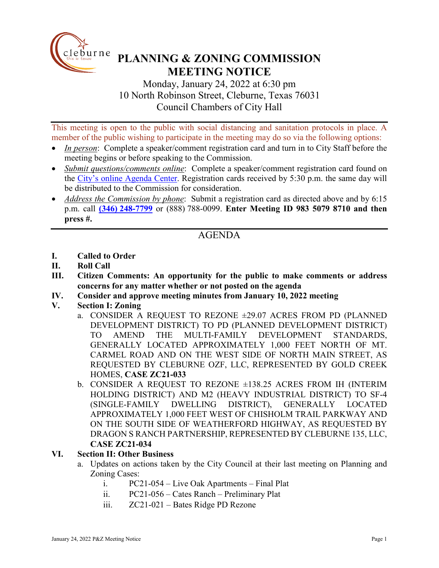

# **PLANNING & ZONING COMMISSION MEETING NOTICE**

Monday, January 24, 2022 at 6:30 pm 10 North Robinson Street, Cleburne, Texas 76031 Council Chambers of City Hall

This meeting is open to the public with social distancing and sanitation protocols in place. A member of the public wishing to participate in the meeting may do so via the following options:

- *In person*: Complete a speaker/comment registration card and turn in to City Staff before the meeting begins or before speaking to the Commission.
- *Submit questions/comments online*: Complete a speaker/comment registration card found on the [City's online Agenda Center.](https://www.cleburne.net/agendacenter) Registration cards received by 5:30 p.m. the same day will be distributed to the Commission for consideration.
- *Address the Commission by phone*: Submit a registration card as directed above and by 6:15 p.m. call **(346) [248-7799](tel:+13127573117,,477307821)** or (888) 788-0099. **Enter Meeting ID 983 5079 8710 and then press #.**

# AGENDA

- **I. Called to Order**
- **II. Roll Call**
- **III. Citizen Comments: An opportunity for the public to make comments or address concerns for any matter whether or not posted on the agenda**
- **IV. Consider and approve meeting minutes from January 10, 2022 meeting**
- **V. Section I: Zoning**
	- a. CONSIDER A REQUEST TO REZONE ±29.07 ACRES FROM PD (PLANNED DEVELOPMENT DISTRICT) TO PD (PLANNED DEVELOPMENT DISTRICT) TO AMEND THE MULTI-FAMILY DEVELOPMENT STANDARDS, GENERALLY LOCATED APPROXIMATELY 1,000 FEET NORTH OF MT. CARMEL ROAD AND ON THE WEST SIDE OF NORTH MAIN STREET, AS REQUESTED BY CLEBURNE OZF, LLC, REPRESENTED BY GOLD CREEK HOMES, **CASE ZC21-033**
	- b. CONSIDER A REQUEST TO REZONE ±138.25 ACRES FROM IH (INTERIM HOLDING DISTRICT) AND M2 (HEAVY INDUSTRIAL DISTRICT) TO SF-4 (SINGLE-FAMILY DWELLING DISTRICT), GENERALLY LOCATED APPROXIMATELY 1,000 FEET WEST OF CHISHOLM TRAIL PARKWAY AND ON THE SOUTH SIDE OF WEATHERFORD HIGHWAY, AS REQUESTED BY DRAGON S RANCH PARTNERSHIP, REPRESENTED BY CLEBURNE 135, LLC, **CASE ZC21-034**

### **VI. Section II: Other Business**

- a. Updates on actions taken by the City Council at their last meeting on Planning and Zoning Cases:
	- i. PC21-054 Live Oak Apartments Final Plat
	- ii. PC21-056 Cates Ranch Preliminary Plat
	- iii. ZC21-021 Bates Ridge PD Rezone